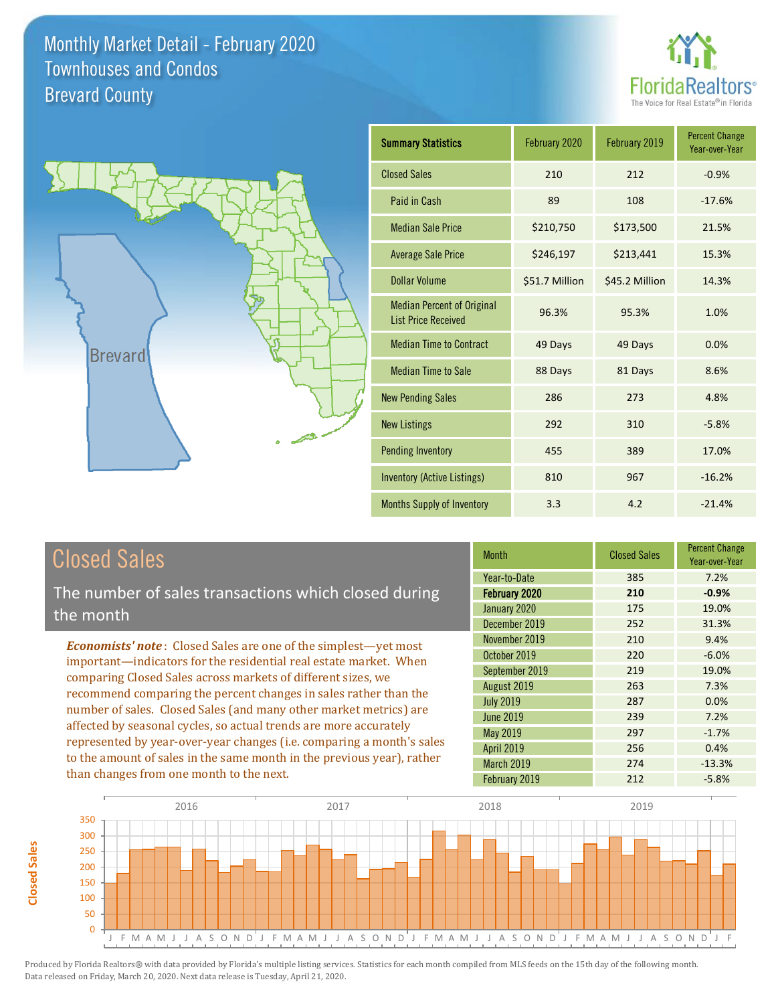



| <b>Summary Statistics</b>                                       | February 2020  | February 2019  | <b>Percent Change</b><br>Year-over-Year |
|-----------------------------------------------------------------|----------------|----------------|-----------------------------------------|
| <b>Closed Sales</b>                                             | 210            | 212            | $-0.9%$                                 |
| Paid in Cash                                                    | 89             | 108            | $-17.6%$                                |
| <b>Median Sale Price</b>                                        | \$210,750      | \$173,500      | 21.5%                                   |
| <b>Average Sale Price</b>                                       | \$246,197      | \$213,441      | 15.3%                                   |
| Dollar Volume                                                   | \$51.7 Million | \$45.2 Million | 14.3%                                   |
| <b>Median Percent of Original</b><br><b>List Price Received</b> | 96.3%          | 95.3%          | 1.0%                                    |
| <b>Median Time to Contract</b>                                  | 49 Days        | 49 Days        | 0.0%                                    |
| <b>Median Time to Sale</b>                                      | 88 Days        | 81 Days        | 8.6%                                    |
| <b>New Pending Sales</b>                                        | 286            | 273            | 4.8%                                    |
| <b>New Listings</b>                                             | 292            | 310            | $-5.8%$                                 |
| <b>Pending Inventory</b>                                        | 455            | 389            | 17.0%                                   |
| Inventory (Active Listings)                                     | 810            | 967            | $-16.2%$                                |
| <b>Months Supply of Inventory</b>                               | 3.3            | 4.2            | $-21.4%$                                |

## Closed Sales

The number of sales transactions which closed during the month

*Economists' note* : Closed Sales are one of the simplest—yet most important—indicators for the residential real estate market. When comparing Closed Sales across markets of different sizes, we recommend comparing the percent changes in sales rather than the number of sales. Closed Sales (and many other market metrics) are affected by seasonal cycles, so actual trends are more accurately represented by year-over-year changes (i.e. comparing a month's sales to the amount of sales in the same month in the previous year), rather than changes from one month to the next.

| <b>Month</b>      | <b>Closed Sales</b> | <b>Percent Change</b><br>Year-over-Year |
|-------------------|---------------------|-----------------------------------------|
| Year-to-Date      | 385                 | 7.2%                                    |
| February 2020     | 210                 | $-0.9%$                                 |
| January 2020      | 175                 | 19.0%                                   |
| December 2019     | 252                 | 31.3%                                   |
| November 2019     | 210                 | 9.4%                                    |
| October 2019      | 220                 | $-6.0%$                                 |
| September 2019    | 219                 | 19.0%                                   |
| August 2019       | 263                 | 7.3%                                    |
| <b>July 2019</b>  | 287                 | 0.0%                                    |
| <b>June 2019</b>  | 239                 | 7.2%                                    |
| May 2019          | 297                 | $-1.7%$                                 |
| <b>April 2019</b> | 256                 | 0.4%                                    |
| <b>March 2019</b> | 274                 | $-13.3%$                                |
| February 2019     | 212                 | $-5.8%$                                 |

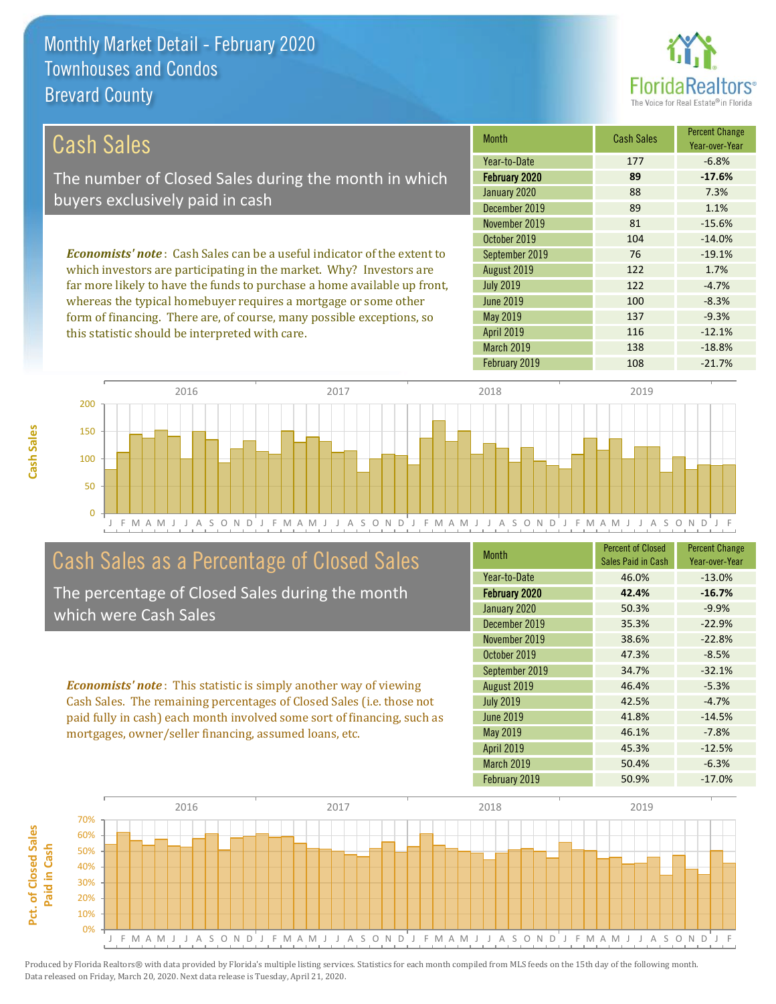this statistic should be interpreted with care.



116 -12.1%

| Cash Sales                                                                     | <b>Month</b>     | <b>Cash Sales</b> | <b>Percent Change</b><br>Year-over-Year |
|--------------------------------------------------------------------------------|------------------|-------------------|-----------------------------------------|
|                                                                                | Year-to-Date     | 177               | $-6.8%$                                 |
| The number of Closed Sales during the month in which                           | February 2020    | 89                | $-17.6%$                                |
| buyers exclusively paid in cash                                                | January 2020     | 88                | 7.3%                                    |
|                                                                                | December 2019    | 89                | 1.1%                                    |
|                                                                                | November 2019    | 81                | $-15.6%$                                |
|                                                                                | October 2019     | 104               | $-14.0%$                                |
| <b>Economists' note:</b> Cash Sales can be a useful indicator of the extent to | September 2019   | 76                | $-19.1%$                                |
| which investors are participating in the market. Why? Investors are            | August 2019      | 122               | 1.7%                                    |
| far more likely to have the funds to purchase a home available up front,       | <b>July 2019</b> | 122               | $-4.7%$                                 |
| whereas the typical homebuyer requires a mortgage or some other                | June 2019        | 100               | $-8.3%$                                 |
| form of financing. There are, of course, many possible exceptions, so          | May 2019         | 137               | $-9.3%$                                 |



## Cash Sales as a Percentage of Closed Sales

The percentage of Closed Sales during the month which were Cash Sales

*Economists' note* : This statistic is simply another way of viewing Cash Sales. The remaining percentages of Closed Sales (i.e. those not paid fully in cash) each month involved some sort of financing, such as mortgages, owner/seller financing, assumed loans, etc.

| <b>Month</b>      | <b>Percent of Closed</b><br>Sales Paid in Cash | <b>Percent Change</b><br>Year-over-Year |
|-------------------|------------------------------------------------|-----------------------------------------|
| Year-to-Date      | 46.0%                                          | $-13.0%$                                |
| February 2020     | 42.4%                                          | $-16.7%$                                |
| January 2020      | 50.3%                                          | $-9.9%$                                 |
| December 2019     | 35.3%                                          | $-22.9%$                                |
| November 2019     | 38.6%                                          | $-22.8%$                                |
| October 2019      | 47.3%                                          | $-8.5%$                                 |
| September 2019    | 34.7%                                          | $-32.1%$                                |
| August 2019       | 46.4%                                          | $-5.3%$                                 |
| <b>July 2019</b>  | 42.5%                                          | $-4.7%$                                 |
| <b>June 2019</b>  | 41.8%                                          | $-14.5%$                                |
| May 2019          | 46.1%                                          | $-7.8%$                                 |
| <b>April 2019</b> | 45.3%                                          | $-12.5%$                                |
| March 2019        | 50.4%                                          | $-6.3%$                                 |
| February 2019     | 50.9%                                          | $-17.0%$                                |

March 2019 138 -18.8%

April 2019

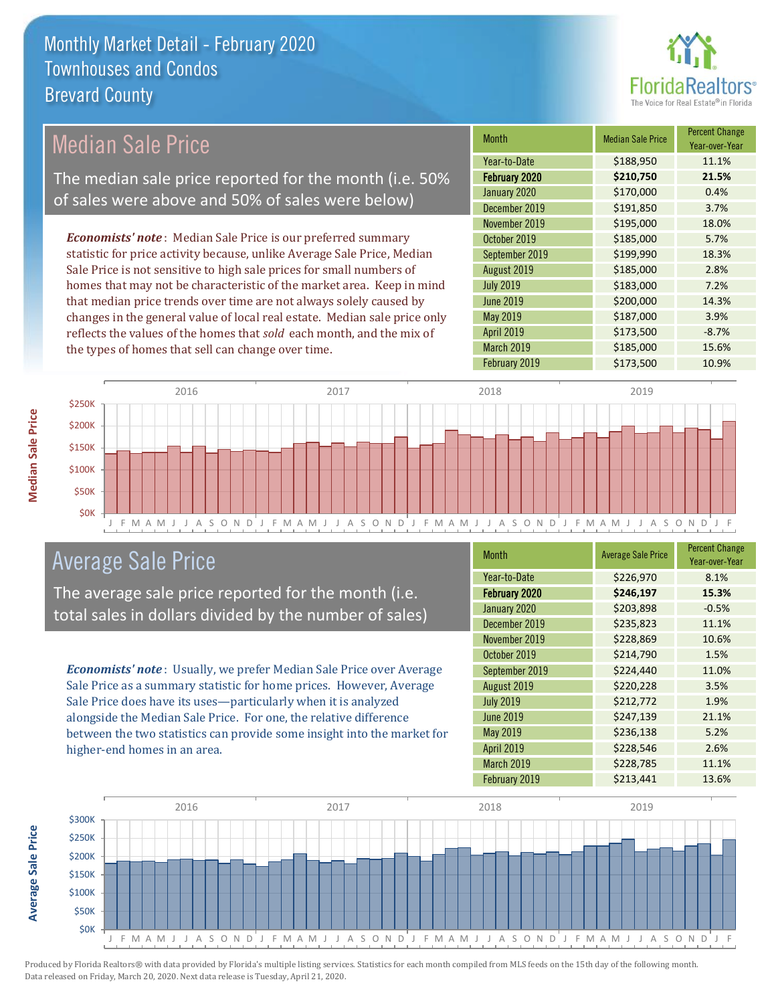

## Median Sale Price

The median sale price reported for the month (i.e. 50% of sales were above and 50% of sales were below)

*Economists' note* : Median Sale Price is our preferred summary statistic for price activity because, unlike Average Sale Price, Median Sale Price is not sensitive to high sale prices for small numbers of homes that may not be characteristic of the market area. Keep in mind that median price trends over time are not always solely caused by changes in the general value of local real estate. Median sale price only reflects the values of the homes that *sold* each month, and the mix of the types of homes that sell can change over time.

| <b>Month</b>     | <b>Median Sale Price</b> | <b>Percent Change</b><br>Year-over-Year |
|------------------|--------------------------|-----------------------------------------|
| Year-to-Date     | \$188,950                | 11.1%                                   |
| February 2020    | \$210,750                | 21.5%                                   |
| January 2020     | \$170,000                | 0.4%                                    |
| December 2019    | \$191,850                | 3.7%                                    |
| November 2019    | \$195,000                | 18.0%                                   |
| October 2019     | \$185,000                | 5.7%                                    |
| September 2019   | \$199,990                | 18.3%                                   |
| August 2019      | \$185,000                | 2.8%                                    |
| <b>July 2019</b> | \$183,000                | 7.2%                                    |
| <b>June 2019</b> | \$200,000                | 14.3%                                   |
| May 2019         | \$187,000                | 3.9%                                    |
| April 2019       | \$173,500                | $-8.7%$                                 |
| March 2019       | \$185,000                | 15.6%                                   |
| February 2019    | \$173,500                | 10.9%                                   |



#### Average Sale Price

The average sale price reported for the month (i.e. total sales in dollars divided by the number of sales)

*Economists' note* : Usually, we prefer Median Sale Price over Average Sale Price as a summary statistic for home prices. However, Average Sale Price does have its uses—particularly when it is analyzed alongside the Median Sale Price. For one, the relative difference between the two statistics can provide some insight into the market for higher-end homes in an area.

| <b>Month</b>      | <b>Average Sale Price</b> | <b>Percent Change</b><br>Year-over-Year |
|-------------------|---------------------------|-----------------------------------------|
| Year-to-Date      | \$226,970                 | 8.1%                                    |
| February 2020     | \$246,197                 | 15.3%                                   |
| January 2020      | \$203,898                 | $-0.5%$                                 |
| December 2019     | \$235,823                 | 11.1%                                   |
| November 2019     | \$228,869                 | 10.6%                                   |
| October 2019      | \$214,790                 | 1.5%                                    |
| September 2019    | \$224,440                 | 11.0%                                   |
| August 2019       | \$220,228                 | 3.5%                                    |
| <b>July 2019</b>  | \$212,772                 | 1.9%                                    |
| <b>June 2019</b>  | \$247,139                 | 21.1%                                   |
| May 2019          | \$236,138                 | 5.2%                                    |
| <b>April 2019</b> | \$228,546                 | 2.6%                                    |
| March 2019        | \$228,785                 | 11.1%                                   |
| February 2019     | \$213,441                 | 13.6%                                   |



**Median Sale Price**

**Median Sale Price**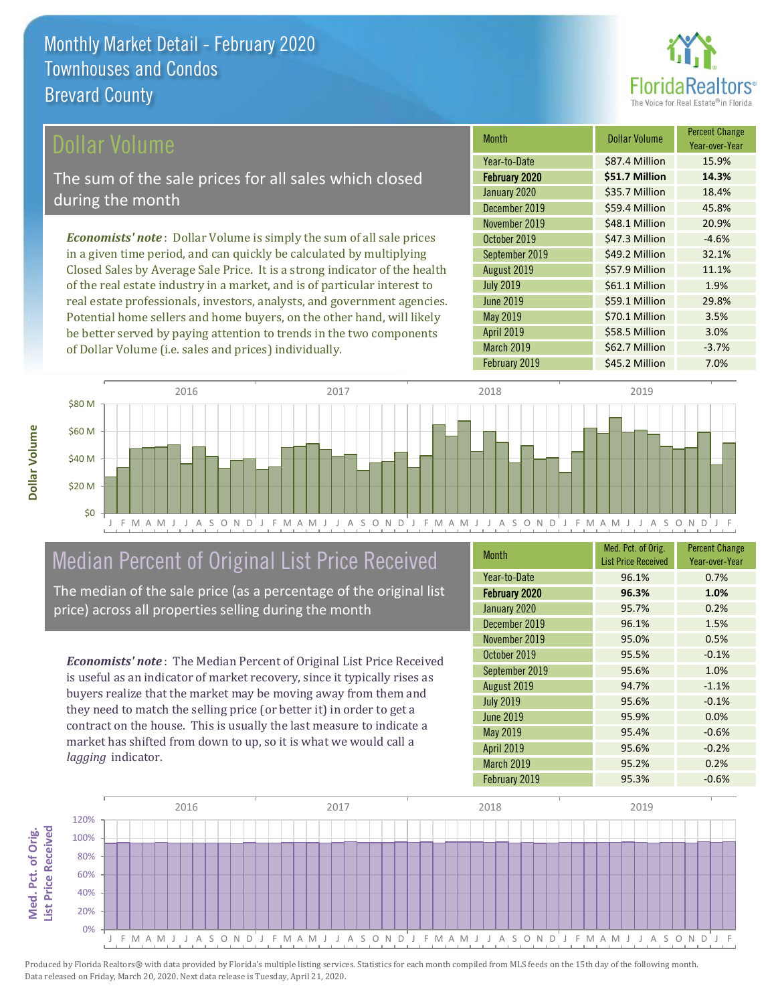

Year-over-Year

#### ollar Volume

The sum of the sale prices for all sales which closed during the month

*Economists' note* : Dollar Volume is simply the sum of all sale prices in a given time period, and can quickly be calculated by multiplying Closed Sales by Average Sale Price. It is a strong indicator of the health of the real estate industry in a market, and is of particular interest to real estate professionals, investors, analysts, and government agencies. Potential home sellers and home buyers, on the other hand, will likely be better served by paying attention to trends in the two components of Dollar Volume (i.e. sales and prices) individually.



## Median Percent of Original List Price Received

The median of the sale price (as a percentage of the original list price) across all properties selling during the month

*Economists' note* : The Median Percent of Original List Price Received is useful as an indicator of market recovery, since it typically rises as buyers realize that the market may be moving away from them and they need to match the selling price (or better it) in order to get a contract on the house. This is usually the last measure to indicate a market has shifted from down to up, so it is what we would call a *lagging* indicator.

| <b>Month</b>      | Med. Pct. of Orig.<br><b>List Price Received</b> | <b>Percent Change</b><br>Year-over-Year |
|-------------------|--------------------------------------------------|-----------------------------------------|
| Year-to-Date      | 96.1%                                            | 0.7%                                    |
| February 2020     | 96.3%                                            | 1.0%                                    |
| January 2020      | 95.7%                                            | 0.2%                                    |
| December 2019     | 96.1%                                            | 1.5%                                    |
| November 2019     | 95.0%                                            | 0.5%                                    |
| October 2019      | 95.5%                                            | $-0.1%$                                 |
| September 2019    | 95.6%                                            | 1.0%                                    |
| August 2019       | 94.7%                                            | $-1.1%$                                 |
| <b>July 2019</b>  | 95.6%                                            | $-0.1%$                                 |
| <b>June 2019</b>  | 95.9%                                            | 0.0%                                    |
| <b>May 2019</b>   | 95.4%                                            | $-0.6%$                                 |
| <b>April 2019</b> | 95.6%                                            | $-0.2%$                                 |
| <b>March 2019</b> | 95.2%                                            | 0.2%                                    |
| February 2019     | 95.3%                                            | $-0.6%$                                 |

June 2019 **\$59.1 Million** 29.8%

November 2019 **\$48.1 Million** 20.9% October 2019 **\$47.3 Million** -4.6% September 2019 **\$49.2 Million** 32.1% August 2019 **\$57.9 Million** 11.1% July 2019 **\$61.1 Million 1.9%** 

January 2020 <br> **\$35.7 Million 18.4%** December 2019 **\$59.4 Million** 45.8%

February 2020 **\$51.7 Million 14.3%** Year-to-Date \$87.4 Million 15.9%

Month **Dollar Volume** Percent Change

March 2019 **\$62.7 Million** -3.7%

February 2019 **\$45.2 Million** 7.0%

\$58.5 Million 3.0%

\$70.1 Million 3.5%

May 2019

April 2019

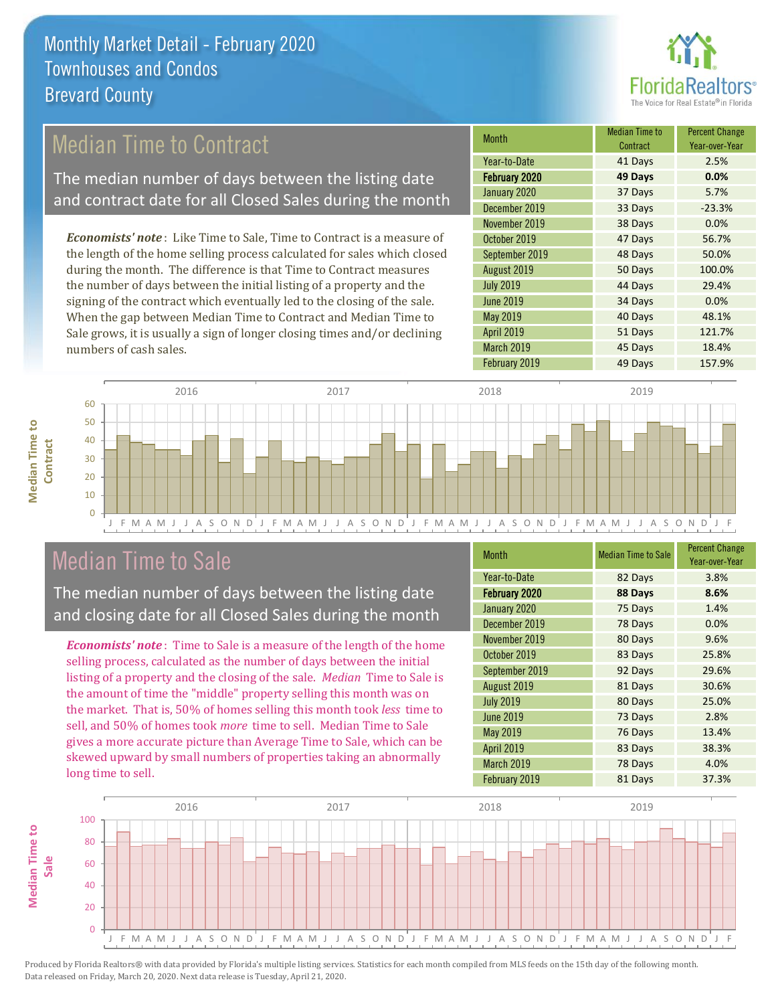

## Median Time to Contract

The median number of days between the listing date and contract date for all Closed Sales during the month

*Economists' note* : Like Time to Sale, Time to Contract is a measure of the length of the home selling process calculated for sales which closed during the month. The difference is that Time to Contract measures the number of days between the initial listing of a property and the signing of the contract which eventually led to the closing of the sale. When the gap between Median Time to Contract and Median Time to Sale grows, it is usually a sign of longer closing times and/or declining numbers of cash sales.

| <b>Month</b>     | Median Time to<br>Contract | <b>Percent Change</b><br>Year-over-Year |
|------------------|----------------------------|-----------------------------------------|
| Year-to-Date     | 41 Days                    | 2.5%                                    |
| February 2020    | 49 Days                    | 0.0%                                    |
| January 2020     | 37 Days                    | 5.7%                                    |
| December 2019    | 33 Days                    | $-23.3%$                                |
| November 2019    | 38 Days                    | 0.0%                                    |
| October 2019     | 47 Days                    | 56.7%                                   |
| September 2019   | 48 Days                    | 50.0%                                   |
| August 2019      | 50 Days                    | 100.0%                                  |
| <b>July 2019</b> | 44 Days                    | 29.4%                                   |
| <b>June 2019</b> | 34 Days                    | 0.0%                                    |
| May 2019         | 40 Days                    | 48.1%                                   |
| April 2019       | 51 Days                    | 121.7%                                  |
| March 2019       | 45 Days                    | 18.4%                                   |
| February 2019    | 49 Days                    | 157.9%                                  |



### Median Time to Sale

**Median Time to** 

**Median Time to** 

The median number of days between the listing date and closing date for all Closed Sales during the month

*Economists' note* : Time to Sale is a measure of the length of the home selling process, calculated as the number of days between the initial listing of a property and the closing of the sale. *Median* Time to Sale is the amount of time the "middle" property selling this month was on the market. That is, 50% of homes selling this month took *less* time to sell, and 50% of homes took *more* time to sell. Median Time to Sale gives a more accurate picture than Average Time to Sale, which can be skewed upward by small numbers of properties taking an abnormally long time to sell.

| <b>Month</b>     | <b>Median Time to Sale</b> | <b>Percent Change</b><br>Year-over-Year |
|------------------|----------------------------|-----------------------------------------|
| Year-to-Date     | 82 Days                    | 3.8%                                    |
| February 2020    | 88 Days                    | 8.6%                                    |
| January 2020     | 75 Days                    | 1.4%                                    |
| December 2019    | 78 Days                    | 0.0%                                    |
| November 2019    | 80 Days                    | 9.6%                                    |
| October 2019     | 83 Days                    | 25.8%                                   |
| September 2019   | 92 Days                    | 29.6%                                   |
| August 2019      | 81 Days                    | 30.6%                                   |
| <b>July 2019</b> | 80 Days                    | 25.0%                                   |
| <b>June 2019</b> | 73 Days                    | 2.8%                                    |
| May 2019         | 76 Days                    | 13.4%                                   |
| April 2019       | 83 Days                    | 38.3%                                   |
| March 2019       | 78 Days                    | 4.0%                                    |
| February 2019    | 81 Days                    | 37.3%                                   |

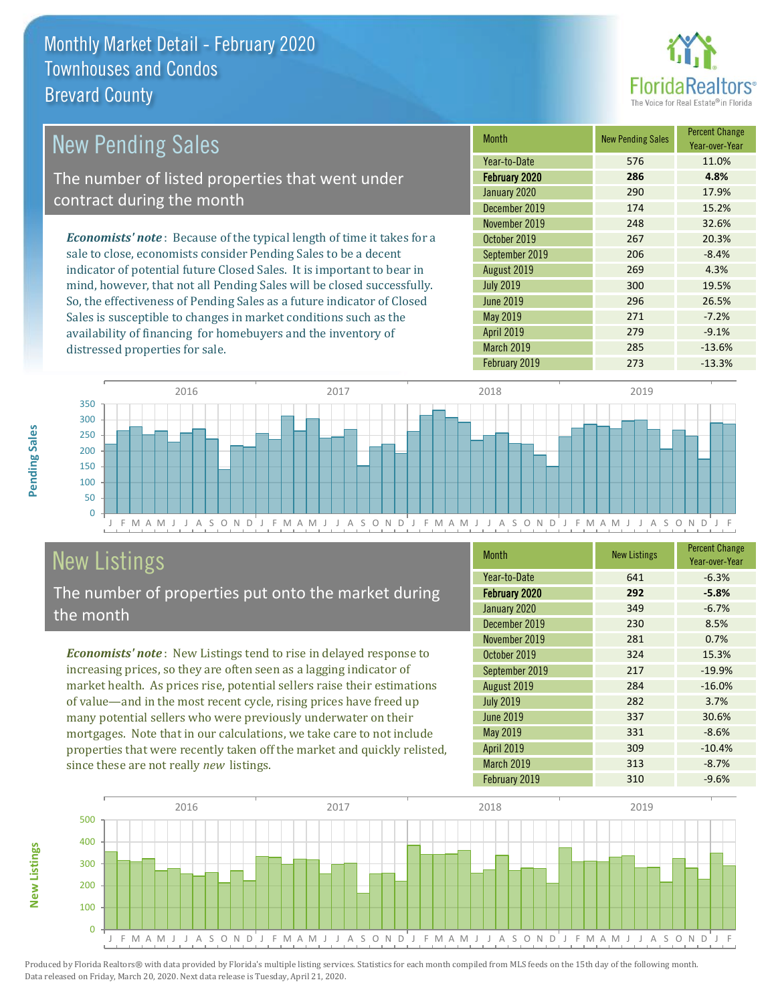

| <b>New Pending Sales</b>                                                       | <b>Month</b>     | <b>New Pending Sales</b> | <b>Percent Change</b><br>Year-over-Year |
|--------------------------------------------------------------------------------|------------------|--------------------------|-----------------------------------------|
|                                                                                | Year-to-Date     | 576                      | 11.0%                                   |
| The number of listed properties that went under                                | February 2020    | 286                      | 4.8%                                    |
| contract during the month                                                      | January 2020     | 290                      | 17.9%                                   |
|                                                                                | December 2019    | 174                      | 15.2%                                   |
|                                                                                | November 2019    | 248                      | 32.6%                                   |
| <b>Economists' note</b> : Because of the typical length of time it takes for a | October 2019     | 267                      | 20.3%                                   |
| sale to close, economists consider Pending Sales to be a decent                | September 2019   | 206                      | $-8.4%$                                 |
| indicator of potential future Closed Sales. It is important to bear in         | August 2019      | 269                      | 4.3%                                    |
| mind, however, that not all Pending Sales will be closed successfully.         | <b>July 2019</b> | 300                      | 19.5%                                   |
| So, the effectiveness of Pending Sales as a future indicator of Closed         | June 2019        | 296                      | 26.5%                                   |
| Sales is susceptible to changes in market conditions such as the               | May 2019         | 271                      | $-7.2%$                                 |



## New Listings

distressed properties for sale.

The number of properties put onto the market during the month

availability of financing for homebuyers and the inventory of

*Economists' note* : New Listings tend to rise in delayed response to increasing prices, so they are often seen as a lagging indicator of market health. As prices rise, potential sellers raise their estimations of value—and in the most recent cycle, rising prices have freed up many potential sellers who were previously underwater on their mortgages. Note that in our calculations, we take care to not include properties that were recently taken off the market and quickly relisted, since these are not really *new* listings.

| <b>Month</b>      | <b>New Listings</b> | <b>Percent Change</b><br>Year-over-Year |
|-------------------|---------------------|-----------------------------------------|
| Year-to-Date      | 641                 | $-6.3%$                                 |
| February 2020     | 292                 | $-5.8%$                                 |
| January 2020      | 349                 | $-6.7%$                                 |
| December 2019     | 230                 | 8.5%                                    |
| November 2019     | 281                 | 0.7%                                    |
| October 2019      | 324                 | 15.3%                                   |
| September 2019    | 217                 | $-19.9%$                                |
| August 2019       | 284                 | $-16.0%$                                |
| <b>July 2019</b>  | 282                 | 3.7%                                    |
| <b>June 2019</b>  | 337                 | 30.6%                                   |
| May 2019          | 331                 | $-8.6%$                                 |
| <b>April 2019</b> | 309                 | $-10.4%$                                |
| March 2019        | 313                 | $-8.7%$                                 |
| February 2019     | 310                 | $-9.6%$                                 |

February 2019 273 -13.3%

April 2019 **279** 279 -9.1% March 2019 **285** -13.6%



Produced by Florida Realtors® with data provided by Florida's multiple listing services. Statistics for each month compiled from MLS feeds on the 15th day of the following month. Data released on Friday, March 20, 2020. Next data release is Tuesday, April 21, 2020.

**New Listings**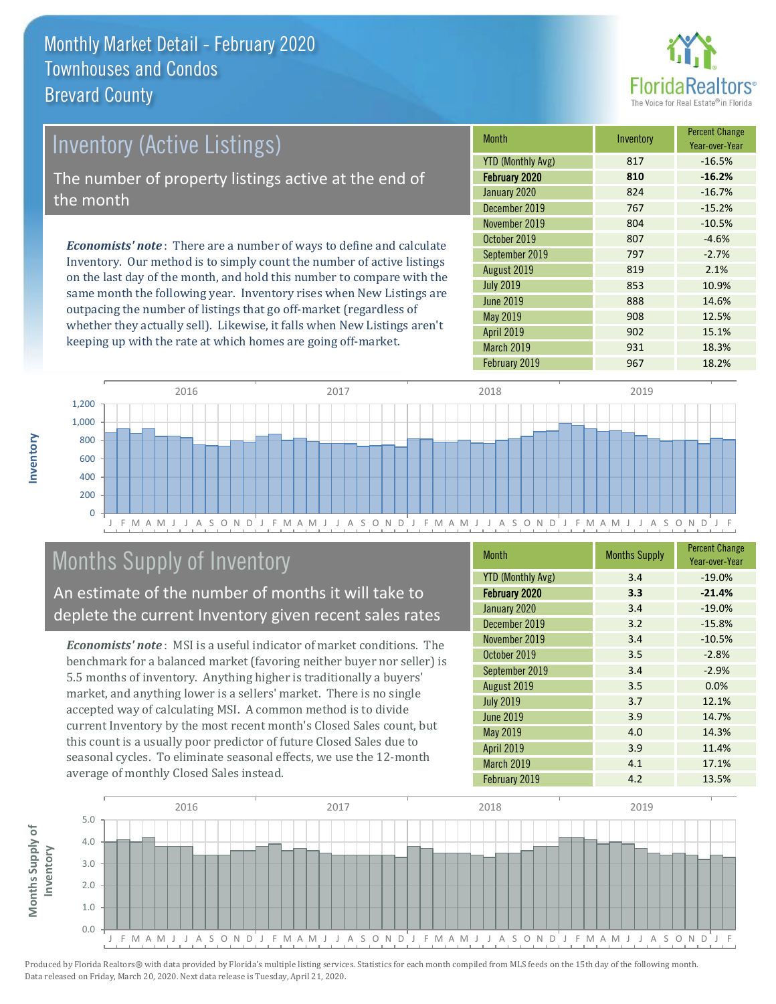

# *Economists' note* : There are a number of ways to define and calculate Inventory (Active Listings) The number of property listings active at the end of the month

Inventory. Our method is to simply count the number of active listings on the last day of the month, and hold this number to compare with the same month the following year. Inventory rises when New Listings are outpacing the number of listings that go off-market (regardless of whether they actually sell). Likewise, it falls when New Listings aren't keeping up with the rate at which homes are going off-market.

| <b>Month</b>             | Inventory | <b>Percent Change</b><br>Year-over-Year |
|--------------------------|-----------|-----------------------------------------|
| <b>YTD (Monthly Avg)</b> | 817       | $-16.5%$                                |
| February 2020            | 810       | $-16.2%$                                |
| January 2020             | 824       | $-16.7%$                                |
| December 2019            | 767       | $-15.2%$                                |
| November 2019            | 804       | $-10.5%$                                |
| October 2019             | 807       | $-4.6%$                                 |
| September 2019           | 797       | $-2.7%$                                 |
| August 2019              | 819       | 2.1%                                    |
| <b>July 2019</b>         | 853       | 10.9%                                   |
| <b>June 2019</b>         | 888       | 14.6%                                   |
| May 2019                 | 908       | 12.5%                                   |
| <b>April 2019</b>        | 902       | 15.1%                                   |
| March 2019               | 931       | 18.3%                                   |
| February 2019            | 967       | 18.2%                                   |



## Months Supply of Inventory

An estimate of the number of months it will take to deplete the current Inventory given recent sales rates

*Economists' note* : MSI is a useful indicator of market conditions. The benchmark for a balanced market (favoring neither buyer nor seller) is 5.5 months of inventory. Anything higher is traditionally a buyers' market, and anything lower is a sellers' market. There is no single accepted way of calculating MSI. A common method is to divide current Inventory by the most recent month's Closed Sales count, but this count is a usually poor predictor of future Closed Sales due to seasonal cycles. To eliminate seasonal effects, we use the 12-month average of monthly Closed Sales instead.

| <b>Month</b>             | <b>Months Supply</b> | <b>Percent Change</b><br>Year-over-Year |
|--------------------------|----------------------|-----------------------------------------|
| <b>YTD (Monthly Avg)</b> | 3.4                  | $-19.0%$                                |
| February 2020            | 3.3                  | $-21.4%$                                |
| January 2020             | 3.4                  | $-19.0%$                                |
| December 2019            | 3.2                  | $-15.8%$                                |
| November 2019            | 3.4                  | $-10.5%$                                |
| October 2019             | 3.5                  | $-2.8%$                                 |
| September 2019           | 3.4                  | $-2.9%$                                 |
| August 2019              | 3.5                  | 0.0%                                    |
| <b>July 2019</b>         | 3.7                  | 12.1%                                   |
| <b>June 2019</b>         | 3.9                  | 14.7%                                   |
| May 2019                 | 4.0                  | 14.3%                                   |
| <b>April 2019</b>        | 3.9                  | 11.4%                                   |
| March 2019               | 4.1                  | 17.1%                                   |
| February 2019            | 4.2                  | 13.5%                                   |

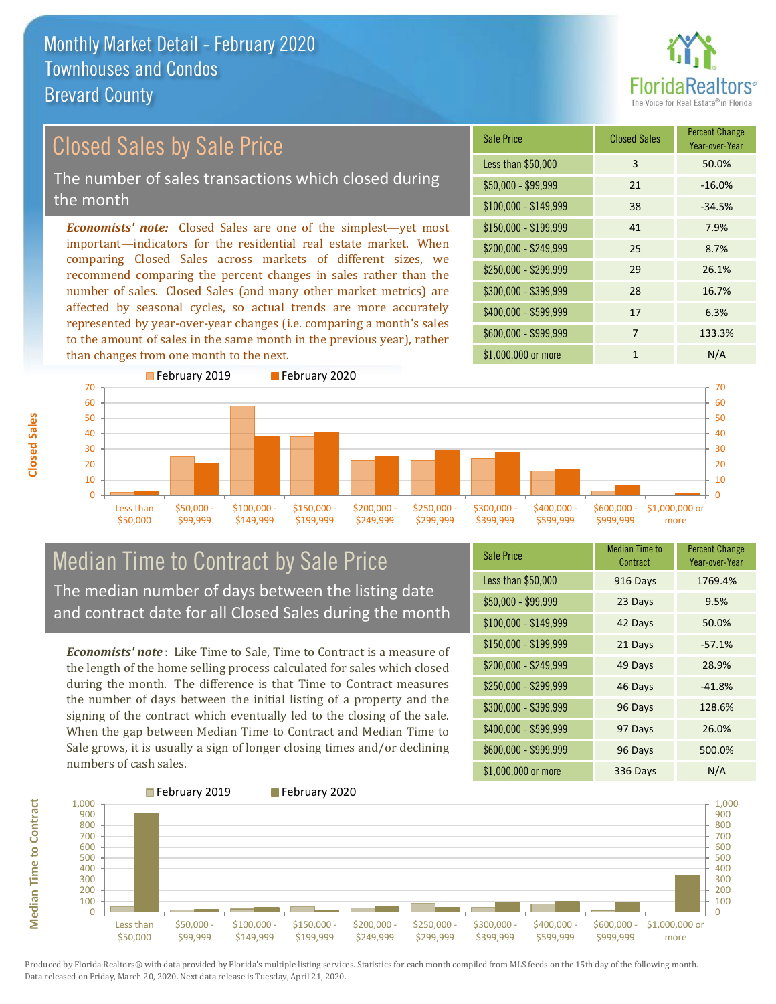

Year-over-Year

#### $$100,000 - $149,999$  38 -34.5% Sale Price Closed Sales Percent Change Less than \$50,000 3 3 50.0%  $$50.000 - $99.999$  21  $-16.0\%$ \$150,000 - \$199,999 41 7.9% \$200,000 - \$249,999 25 8.7% \$400,000 - \$599,999 17 6.3% *Economists' note:* Closed Sales are one of the simplest—yet most important—indicators for the residential real estate market. When comparing Closed Sales across markets of different sizes, we recommend comparing the percent changes in sales rather than the number of sales. Closed Sales (and many other market metrics) are affected by seasonal cycles, so actual trends are more accurately \$250,000 - \$299,999 29 26.1% \$300,000 - \$399,999 28 16.7% Closed Sales by Sale Price The number of sales transactions which closed during the month

represented by year-over-year changes (i.e. comparing a month's sales to the amount of sales in the same month in the previous year), rather than changes from one month to the next.



#### Median Time to Contract by Sale Price The median number of days between the listing date and contract date for all Closed Sales during the month

*Economists' note* : Like Time to Sale, Time to Contract is a measure of the length of the home selling process calculated for sales which closed during the month. The difference is that Time to Contract measures the number of days between the initial listing of a property and the signing of the contract which eventually led to the closing of the sale. When the gap between Median Time to Contract and Median Time to Sale grows, it is usually a sign of longer closing times and/or declining numbers of cash sales.

| <b>Sale Price</b>     | <b>Median Time to</b><br>Contract | <b>Percent Change</b><br>Year-over-Year |
|-----------------------|-----------------------------------|-----------------------------------------|
| Less than \$50,000    | 916 Days                          | 1769.4%                                 |
| $$50,000 - $99,999$   | 23 Days                           | 9.5%                                    |
| $$100,000 - $149,999$ | 42 Days                           | 50.0%                                   |
| $$150,000 - $199,999$ | 21 Days                           | $-57.1%$                                |
| \$200,000 - \$249,999 | 49 Days                           | 28.9%                                   |
| \$250,000 - \$299,999 | 46 Days                           | $-41.8%$                                |
| \$300,000 - \$399,999 | 96 Days                           | 128.6%                                  |
| \$400,000 - \$599,999 | 97 Days                           | 26.0%                                   |
| \$600,000 - \$999,999 | 96 Days                           | 500.0%                                  |
| \$1,000,000 or more   | 336 Days                          | N/A                                     |

\$600,000 - \$999,999 7 133.3%

\$1,000,000 or more 1 1 N/A



Produced by Florida Realtors® with data provided by Florida's multiple listing services. Statistics for each month compiled from MLS feeds on the 15th day of the following month. Data released on Friday, March 20, 2020. Next data release is Tuesday, April 21, 2020.

**Median Time to Contract**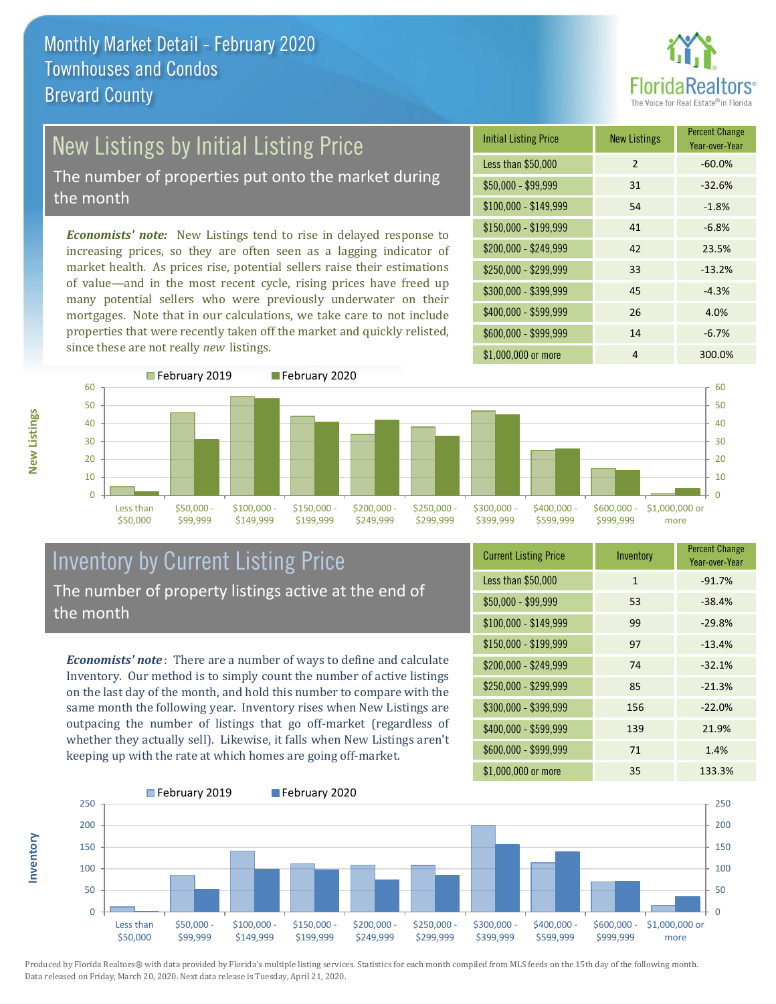

# New Listings by Initial Listing Price

The number of properties put onto the market during the month

*Economists' note:* New Listings tend to rise in delayed response to increasing prices, so they are often seen as a lagging indicator of market health. As prices rise, potential sellers raise their estimations of value—and in the most recent cycle, rising prices have freed up many potential sellers who were previously underwater on their mortgages. Note that in our calculations, we take care to not include properties that were recently taken off the market and quickly relisted, since these are not really *new* listings.

| <b>Initial Listing Price</b> | <b>New Listings</b> | <b>Percent Change</b><br>Year-over-Year |
|------------------------------|---------------------|-----------------------------------------|
| Less than \$50,000           | $\overline{2}$      | $-60.0%$                                |
| $$50,000 - $99,999$          | 31                  | $-32.6%$                                |
| $$100,000 - $149,999$        | 54                  | $-1.8%$                                 |
| $$150,000 - $199,999$        | 41                  | $-6.8%$                                 |
| \$200,000 - \$249,999        | 42                  | 23.5%                                   |
| $$250,000 - $299,999$        | 33                  | $-13.2%$                                |
| \$300,000 - \$399,999        | 45                  | $-4.3%$                                 |
| \$400,000 - \$599,999        | 26                  | 4.0%                                    |
| \$600,000 - \$999,999        | 14                  | $-6.7%$                                 |
| \$1,000,000 or more          | 4                   | 300.0%                                  |



**New Listings**

**Inventory**



#### Inventory by Current Listing Price The number of property listings active at the end of the month

*Economists' note* : There are a number of ways to define and calculate Inventory. Our method is to simply count the number of active listings on the last day of the month, and hold this number to compare with the same month the following year. Inventory rises when New Listings are outpacing the number of listings that go off-market (regardless of whether they actually sell). Likewise, it falls when New Listings aren't keeping up with the rate at which homes are going off-market.

| <b>Current Listing Price</b> | Inventory    | <b>Percent Change</b><br>Year-over-Year |
|------------------------------|--------------|-----------------------------------------|
| Less than \$50,000           | $\mathbf{1}$ | $-91.7%$                                |
| $$50,000 - $99,999$          | 53           | $-38.4%$                                |
| $$100,000 - $149,999$        | 99           | $-29.8%$                                |
| $$150,000 - $199,999$        | 97           | $-13.4%$                                |
| \$200,000 - \$249,999        | 74           | $-32.1%$                                |
| \$250,000 - \$299,999        | 85           | $-21.3%$                                |
| \$300,000 - \$399,999        | 156          | $-22.0%$                                |
| \$400,000 - \$599,999        | 139          | 21.9%                                   |
| \$600,000 - \$999,999        | 71           | 1.4%                                    |
| \$1,000,000 or more          | 35           | 133.3%                                  |